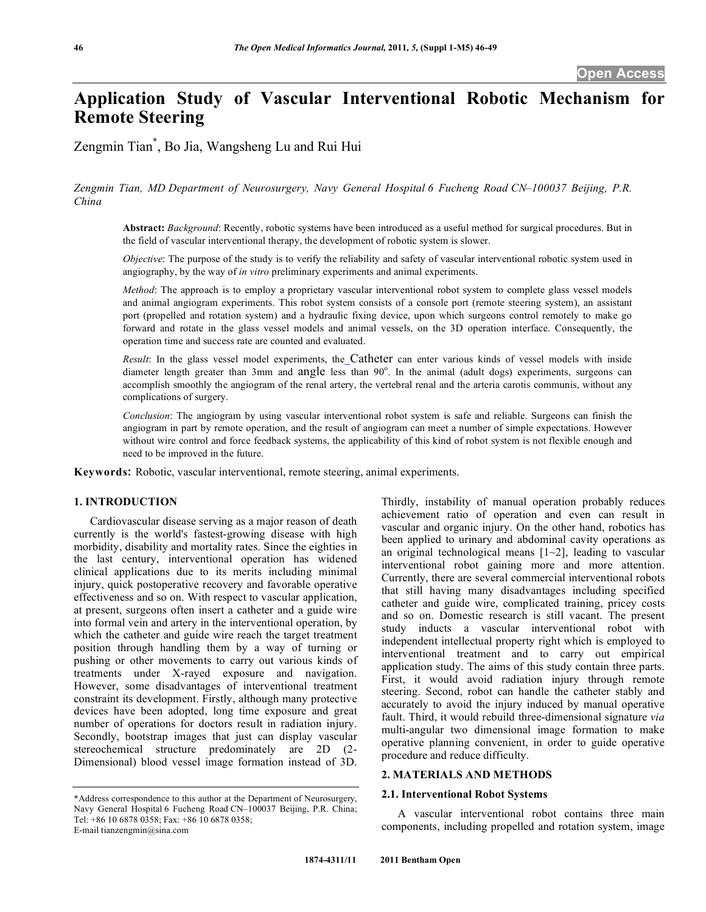# **Application Study of Vascular Interventional Robotic Mechanism for Remote Steering**

Zengmin Tian\* , Bo Jia, Wangsheng Lu and Rui Hui

*Zengmin Tian, MD Department of Neurosurgery, Navy General Hospital 6 Fucheng Road CN–100037 Beijing, P.R. China* 

**Abstract:** *Background*: Recently, robotic systems have been introduced as a useful method for surgical procedures. But in the field of vascular interventional therapy, the development of robotic system is slower.

*Objective*: The purpose of the study is to verify the reliability and safety of vascular interventional robotic system used in angiography, by the way of *in vitro* preliminary experiments and animal experiments.

*Method*: The approach is to employ a proprietary vascular interventional robot system to complete glass vessel models and animal angiogram experiments. This robot system consists of a console port (remote steering system), an assistant port (propelled and rotation system) and a hydraulic fixing device, upon which surgeons control remotely to make go forward and rotate in the glass vessel models and animal vessels, on the 3D operation interface. Consequently, the operation time and success rate are counted and evaluated.

*Result*: In the glass vessel model experiments, the Catheter can enter various kinds of vessel models with inside diameter length greater than 3mm and angle less than 90°. In the animal (adult dogs) experiments, surgeons can accomplish smoothly the angiogram of the renal artery, the vertebral renal and the arteria carotis communis, without any complications of surgery.

*Conclusion*: The angiogram by using vascular interventional robot system is safe and reliable. Surgeons can finish the angiogram in part by remote operation, and the result of angiogram can meet a number of simple expectations. However without wire control and force feedback systems, the applicability of this kind of robot system is not flexible enough and need to be improved in the future.

**Keywords:** Robotic, vascular interventional, remote steering, animal experiments.

## **1. INTRODUCTION**

 Cardiovascular disease serving as a major reason of death currently is the world's fastest-growing disease with high morbidity, disability and mortality rates. Since the eighties in the last century, interventional operation has widened clinical applications due to its merits including minimal injury, quick postoperative recovery and favorable operative effectiveness and so on. With respect to vascular application, at present, surgeons often insert a catheter and a guide wire into formal vein and artery in the interventional operation, by which the catheter and guide wire reach the target treatment position through handling them by a way of turning or pushing or other movements to carry out various kinds of treatments under X-rayed exposure and navigation. However, some disadvantages of interventional treatment constraint its development. Firstly, although many protective devices have been adopted, long time exposure and great number of operations for doctors result in radiation injury. Secondly, bootstrap images that just can display vascular stereochemical structure predominately are 2D (2- Dimensional) blood vessel image formation instead of 3D.

Thirdly, instability of manual operation probably reduces achievement ratio of operation and even can result in vascular and organic injury. On the other hand, robotics has been applied to urinary and abdominal cavity operations as an original technological means  $[1-2]$ , leading to vascular interventional robot gaining more and more attention. Currently, there are several commercial interventional robots that still having many disadvantages including specified catheter and guide wire, complicated training, pricey costs and so on. Domestic research is still vacant. The present study inducts a vascular interventional robot with independent intellectual property right which is employed to interventional treatment and to carry out empirical application study. The aims of this study contain three parts. First, it would avoid radiation injury through remote steering. Second, robot can handle the catheter stably and accurately to avoid the injury induced by manual operative fault. Third, it would rebuild three-dimensional signature *via*  multi-angular two dimensional image formation to make operative planning convenient, in order to guide operative procedure and reduce difficulty.

### **2. MATERIALS AND METHODS**

#### **2.1. Interventional Robot Systems**

 A vascular interventional robot contains three main components, including propelled and rotation system, image

<sup>\*</sup>Address correspondence to this author at the Department of Neurosurgery, Navy General Hospital 6 Fucheng Road CN–100037 Beijing, P.R. China; Tel: +86 10 6878 0358; Fax: +86 10 6878 0358; E-mail tianzengmin@sina.com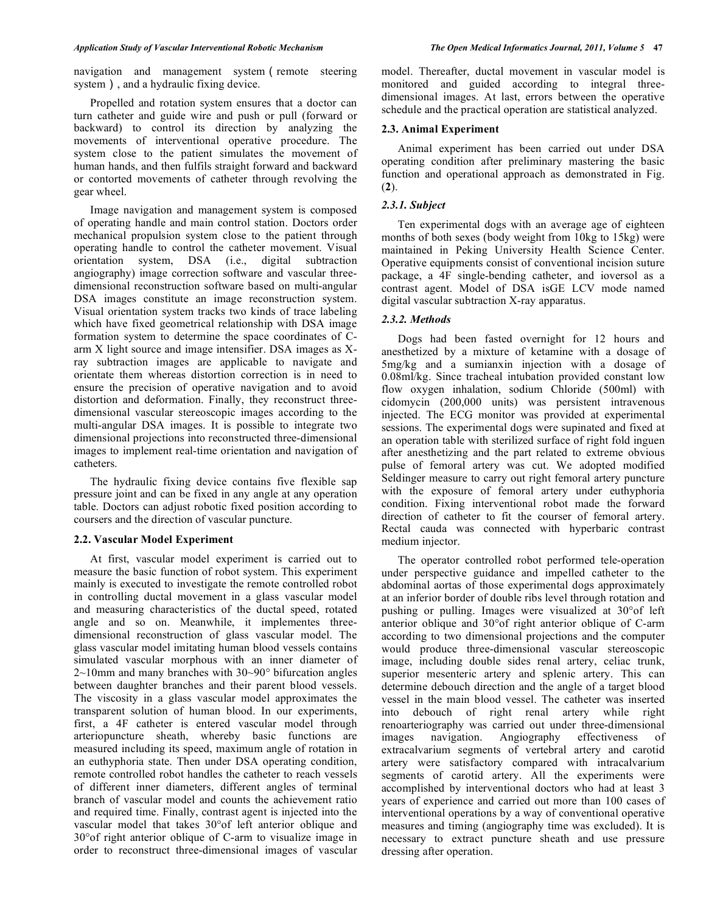navigation and management system (remote steering system), and a hydraulic fixing device.

 Propelled and rotation system ensures that a doctor can turn catheter and guide wire and push or pull (forward or backward) to control its direction by analyzing the movements of interventional operative procedure. The system close to the patient simulates the movement of human hands, and then fulfils straight forward and backward or contorted movements of catheter through revolving the gear wheel.

 Image navigation and management system is composed of operating handle and main control station. Doctors order mechanical propulsion system close to the patient through operating handle to control the catheter movement. Visual orientation system, DSA (i.e., digital subtraction angiography) image correction software and vascular threedimensional reconstruction software based on multi-angular DSA images constitute an image reconstruction system. Visual orientation system tracks two kinds of trace labeling which have fixed geometrical relationship with DSA image formation system to determine the space coordinates of Carm X light source and image intensifier. DSA images as Xray subtraction images are applicable to navigate and orientate them whereas distortion correction is in need to ensure the precision of operative navigation and to avoid distortion and deformation. Finally, they reconstruct threedimensional vascular stereoscopic images according to the multi-angular DSA images. It is possible to integrate two dimensional projections into reconstructed three-dimensional images to implement real-time orientation and navigation of catheters.

 The hydraulic fixing device contains five flexible sap pressure joint and can be fixed in any angle at any operation table. Doctors can adjust robotic fixed position according to coursers and the direction of vascular puncture.

### **2.2. Vascular Model Experiment**

 At first, vascular model experiment is carried out to measure the basic function of robot system. This experiment mainly is executed to investigate the remote controlled robot in controlling ductal movement in a glass vascular model and measuring characteristics of the ductal speed, rotated angle and so on. Meanwhile, it implementes threedimensional reconstruction of glass vascular model. The glass vascular model imitating human blood vessels contains simulated vascular morphous with an inner diameter of 2~10mm and many branches with 30~90° bifurcation angles between daughter branches and their parent blood vessels. The viscosity in a glass vascular model approximates the transparent solution of human blood. In our experiments, first, a 4F catheter is entered vascular model through arteriopuncture sheath, whereby basic functions are measured including its speed, maximum angle of rotation in an euthyphoria state. Then under DSA operating condition, remote controlled robot handles the catheter to reach vessels of different inner diameters, different angles of terminal branch of vascular model and counts the achievement ratio and required time. Finally, contrast agent is injected into the vascular model that takes 30°of left anterior oblique and 30°of right anterior oblique of C-arm to visualize image in order to reconstruct three-dimensional images of vascular

model. Thereafter, ductal movement in vascular model is monitored and guided according to integral threedimensional images. At last, errors between the operative schedule and the practical operation are statistical analyzed.

## **2.3. Animal Experiment**

 Animal experiment has been carried out under DSA operating condition after preliminary mastering the basic function and operational approach as demonstrated in Fig. (**2**).

# *2.3.1. Subject*

 Ten experimental dogs with an average age of eighteen months of both sexes (body weight from 10kg to 15kg) were maintained in Peking University Health Science Center. Operative equipments consist of conventional incision suture package, a 4F single-bending catheter, and ioversol as a contrast agent. Model of DSA isGE LCV mode named digital vascular subtraction X-ray apparatus.

# *2.3.2. Methods*

 Dogs had been fasted overnight for 12 hours and anesthetized by a mixture of ketamine with a dosage of 5mg/kg and a sumianxin injection with a dosage of 0.08ml/kg. Since tracheal intubation provided constant low flow oxygen inhalation, sodium Chloride (500ml) with cidomycin (200,000 units) was persistent intravenous injected. The ECG monitor was provided at experimental sessions. The experimental dogs were supinated and fixed at an operation table with sterilized surface of right fold inguen after anesthetizing and the part related to extreme obvious pulse of femoral artery was cut. We adopted modified Seldinger measure to carry out right femoral artery puncture with the exposure of femoral artery under euthyphoria condition. Fixing interventional robot made the forward direction of catheter to fit the courser of femoral artery. Rectal cauda was connected with hyperbaric contrast medium injector.

 The operator controlled robot performed tele-operation under perspective guidance and impelled catheter to the abdominal aortas of those experimental dogs approximately at an inferior border of double ribs level through rotation and pushing or pulling. Images were visualized at 30°of left anterior oblique and 30°of right anterior oblique of C-arm according to two dimensional projections and the computer would produce three-dimensional vascular stereoscopic image, including double sides renal artery, celiac trunk, superior mesenteric artery and splenic artery. This can determine debouch direction and the angle of a target blood vessel in the main blood vessel. The catheter was inserted into debouch of right renal artery while right renoarteriography was carried out under three-dimensional images navigation. Angiography effectiveness of extracalvarium segments of vertebral artery and carotid artery were satisfactory compared with intracalvarium segments of carotid artery. All the experiments were accomplished by interventional doctors who had at least 3 years of experience and carried out more than 100 cases of interventional operations by a way of conventional operative measures and timing (angiography time was excluded). It is necessary to extract puncture sheath and use pressure dressing after operation.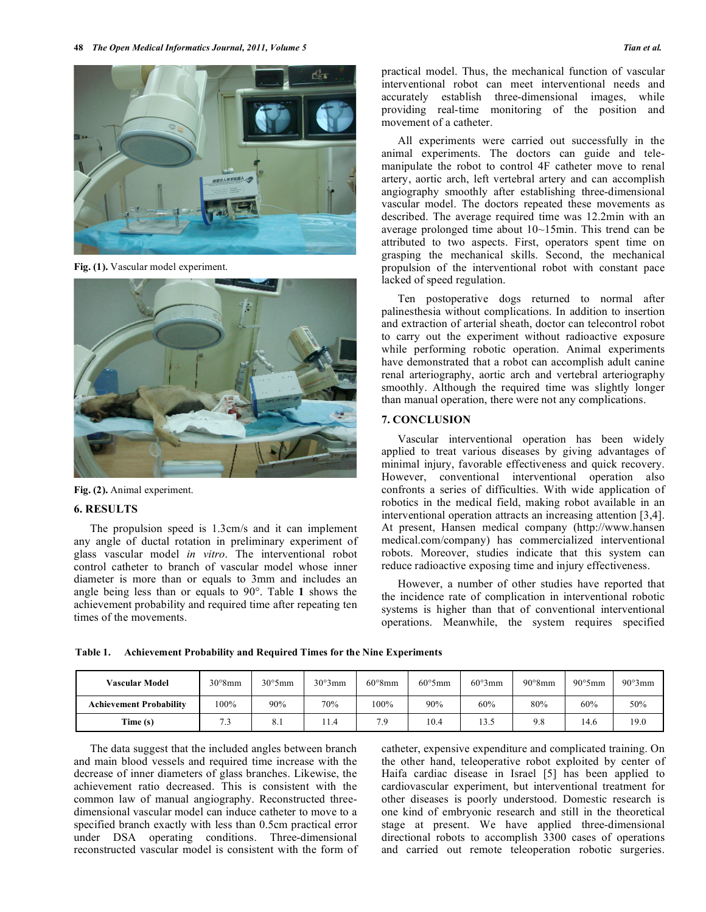

**Fig. (1).** Vascular model experiment.



**Fig. (2).** Animal experiment.

### **6. RESULTS**

 The propulsion speed is 1.3cm/s and it can implement any angle of ductal rotation in preliminary experiment of glass vascular model *in vitro*. The interventional robot control catheter to branch of vascular model whose inner diameter is more than or equals to 3mm and includes an angle being less than or equals to 90°. Table **1** shows the achievement probability and required time after repeating ten times of the movements.

practical model. Thus, the mechanical function of vascular interventional robot can meet interventional needs and accurately establish three-dimensional images, while providing real-time monitoring of the position and movement of a catheter.

 All experiments were carried out successfully in the animal experiments. The doctors can guide and telemanipulate the robot to control 4F catheter move to renal artery, aortic arch, left vertebral artery and can accomplish angiography smoothly after establishing three-dimensional vascular model. The doctors repeated these movements as described. The average required time was 12.2min with an average prolonged time about 10~15min. This trend can be attributed to two aspects. First, operators spent time on grasping the mechanical skills. Second, the mechanical propulsion of the interventional robot with constant pace lacked of speed regulation.

 Ten postoperative dogs returned to normal after palinesthesia without complications. In addition to insertion and extraction of arterial sheath, doctor can telecontrol robot to carry out the experiment without radioactive exposure while performing robotic operation. Animal experiments have demonstrated that a robot can accomplish adult canine renal arteriography, aortic arch and vertebral arteriography smoothly. Although the required time was slightly longer than manual operation, there were not any complications.

## **7. CONCLUSION**

 Vascular interventional operation has been widely applied to treat various diseases by giving advantages of minimal injury, favorable effectiveness and quick recovery. However, conventional interventional operation also confronts a series of difficulties. With wide application of robotics in the medical field, making robot available in an interventional operation attracts an increasing attention [3,4]. At present, Hansen medical company (http://www.hansen medical.com/company) has commercialized interventional robots. Moreover, studies indicate that this system can reduce radioactive exposing time and injury effectiveness.

 However, a number of other studies have reported that the incidence rate of complication in interventional robotic systems is higher than that of conventional interventional operations. Meanwhile, the system requires specified

| Table 1. |  |  | Achievement Probability and Required Times for the Nine Experiments |
|----------|--|--|---------------------------------------------------------------------|
|          |  |  |                                                                     |

| Vascular Model                 | $30^{\circ}8mm$ | $30^{\circ}5$ mm | $30^{\circ}3mm$ | $60^{\circ}8mm$ | $60°5$ mm | 60°3mm           | $90^{\circ}8mm$ | $90°5$ mm | 90°3mm |
|--------------------------------|-----------------|------------------|-----------------|-----------------|-----------|------------------|-----------------|-----------|--------|
| <b>Achievement Probability</b> | 100%            | 90%              | 70%             | 100%            | 90%       | 60%              | 80%             | 60%       | 50%    |
| Time (s)                       | د.              | 8.1              |                 | 7.9             | 10.4      | $\cdots$<br>13.5 | 9.8             | 14.6      | 19.0   |

 The data suggest that the included angles between branch and main blood vessels and required time increase with the decrease of inner diameters of glass branches. Likewise, the achievement ratio decreased. This is consistent with the common law of manual angiography. Reconstructed threedimensional vascular model can induce catheter to move to a specified branch exactly with less than 0.5cm practical error under DSA operating conditions. Three-dimensional reconstructed vascular model is consistent with the form of catheter, expensive expenditure and complicated training. On the other hand, teleoperative robot exploited by center of Haifa cardiac disease in Israel [5] has been applied to cardiovascular experiment, but interventional treatment for other diseases is poorly understood. Domestic research is one kind of embryonic research and still in the theoretical stage at present. We have applied three-dimensional directional robots to accomplish 3300 cases of operations and carried out remote teleoperation robotic surgeries.